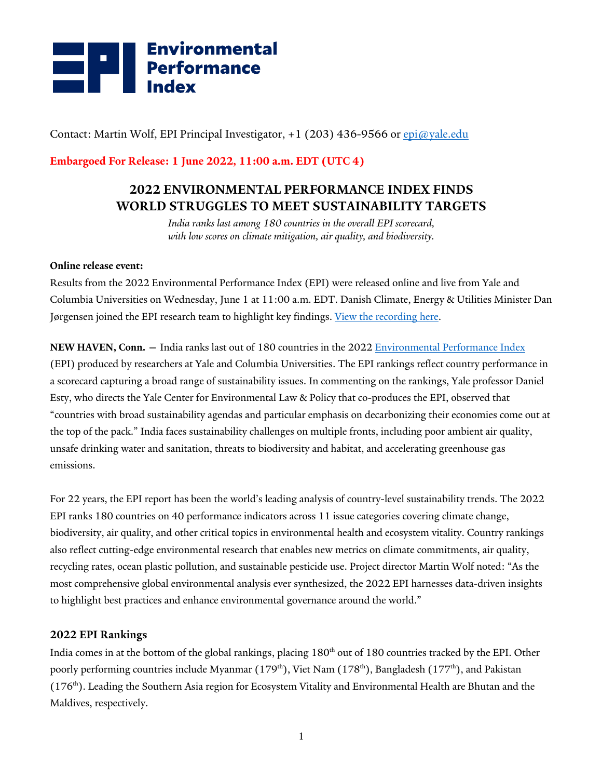

Contact: Martin Wolf, EPI Principal Investigator, +1 (203) 436-9566 or epi@yale.edu

**Embargoed For Release: 1 June 2022, 11:00 a.m. EDT (UTC 4)**

## **2022 ENVIRONMENTAL PERFORMANCE INDEX FINDS WORLD STRUGGLES TO MEET SUSTAINABILITY TARGETS**

*India ranks last among 180 countries in the overall EPI scorecard, with low scores on climate mitigation, air quality, and biodiversity.*

#### **Online release event:**

Results from the 2022 Environmental Performance Index (EPI) were released online and live from Yale and Columbia Universities on Wednesday, June 1 at 11:00 a.m. EDT. Danish Climate, Energy & Utilities Minister Dan Jørgensen joined the EPI research team to highlight key findings. View the recording here.

**NEW HAVEN, Conn. —** India ranks last out of 180 countries in the 2022 Environmental Performance Index (EPI) produced by researchers at Yale and Columbia Universities. The EPI rankings reflect country performance in a scorecard capturing a broad range of sustainability issues. In commenting on the rankings, Yale professor Daniel Esty, who directs the Yale Center for Environmental Law & Policy that co-produces the EPI, observed that "countries with broad sustainability agendas and particular emphasis on decarbonizing their economies come out at the top of the pack." India faces sustainability challenges on multiple fronts, including poor ambient air quality, unsafe drinking water and sanitation, threats to biodiversity and habitat, and accelerating greenhouse gas emissions.

For 22 years, the EPI report has been the world's leading analysis of country-level sustainability trends. The 2022 EPI ranks 180 countries on 40 performance indicators across 11 issue categories covering climate change, biodiversity, air quality, and other critical topics in environmental health and ecosystem vitality. Country rankings also reflect cutting-edge environmental research that enables new metrics on climate commitments, air quality, recycling rates, ocean plastic pollution, and sustainable pesticide use. Project director Martin Wolf noted: "As the most comprehensive global environmental analysis ever synthesized, the 2022 EPI harnesses data-driven insights to highlight best practices and enhance environmental governance around the world."

#### **2022 EPI Rankings**

India comes in at the bottom of the global rankings, placing 180<sup>th</sup> out of 180 countries tracked by the EPI. Other poorly performing countries include Myanmar (179<sup>th</sup>), Viet Nam (178<sup>th</sup>), Bangladesh (177<sup>th</sup>), and Pakistan (176<sup>th</sup>). Leading the Southern Asia region for Ecosystem Vitality and Environmental Health are Bhutan and the Maldives, respectively.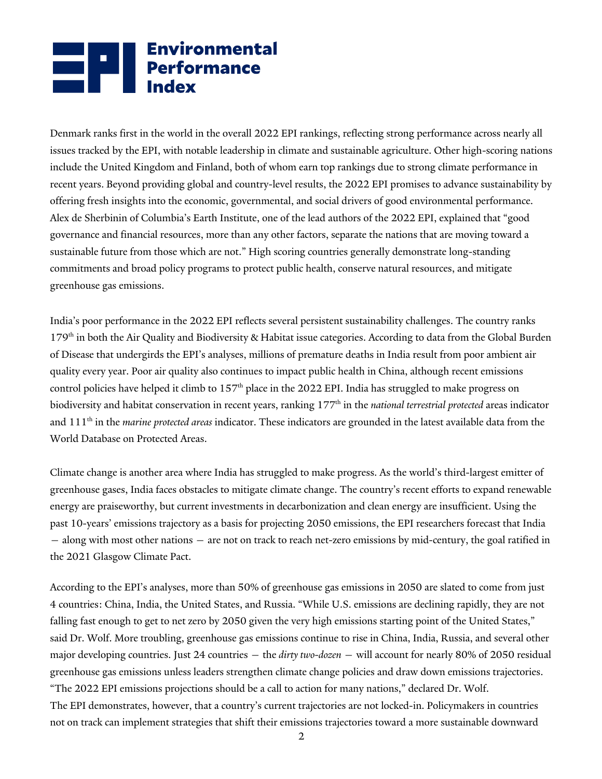# **Environmental**<br> **Performance**<br>
Index

Denmark ranks first in the world in the overall 2022 EPI rankings, reflecting strong performance across nearly all issues tracked by the EPI, with notable leadership in climate and sustainable agriculture. Other high-scoring nations include the United Kingdom and Finland, both of whom earn top rankings due to strong climate performance in recent years. Beyond providing global and country-level results, the 2022 EPI promises to advance sustainability by offering fresh insights into the economic, governmental, and social drivers of good environmental performance. Alex de Sherbinin of Columbia's Earth Institute, one of the lead authors of the 2022 EPI, explained that "good governance and financial resources, more than any other factors, separate the nations that are moving toward a sustainable future from those which are not." High scoring countries generally demonstrate long-standing commitments and broad policy programs to protect public health, conserve natural resources, and mitigate greenhouse gas emissions.

India's poor performance in the 2022 EPI reflects several persistent sustainability challenges. The country ranks 179th in both the Air Quality and Biodiversity & Habitat issue categories. According to data from the Global Burden of Disease that undergirds the EPI's analyses, millions of premature deaths in India result from poor ambient air quality every year. Poor air quality also continues to impact public health in China, although recent emissions control policies have helped it climb to  $157<sup>th</sup>$  place in the 2022 EPI. India has struggled to make progress on biodiversity and habitat conservation in recent years, ranking 177<sup>th</sup> in the *national terrestrial protected* areas indicator and 111<sup>th</sup> in the *marine protected areas* indicator. These indicators are grounded in the latest available data from the World Database on Protected Areas.

Climate change is another area where India has struggled to make progress. As the world's third-largest emitter of greenhouse gases, India faces obstacles to mitigate climate change. The country's recent efforts to expand renewable energy are praiseworthy, but current investments in decarbonization and clean energy are insufficient. Using the past 10-years' emissions trajectory as a basis for projecting 2050 emissions, the EPI researchers forecast that India — along with most other nations — are not on track to reach net-zero emissions by mid-century, the goal ratified in the 2021 Glasgow Climate Pact.

According to the EPI's analyses, more than 50% of greenhouse gas emissions in 2050 are slated to come from just 4 countries: China, India, the United States, and Russia. "While U.S. emissions are declining rapidly, they are not falling fast enough to get to net zero by 2050 given the very high emissions starting point of the United States," said Dr. Wolf. More troubling, greenhouse gas emissions continue to rise in China, India, Russia, and several other major developing countries. Just 24 countries — the *dirty two-dozen* — will account for nearly 80% of 2050 residual greenhouse gas emissions unless leaders strengthen climate change policies and draw down emissions trajectories. "The 2022 EPI emissions projections should be a call to action for many nations," declared Dr. Wolf. The EPI demonstrates, however, that a country's current trajectories are not locked-in. Policymakers in countries

2 not on track can implement strategies that shift their emissions trajectories toward a more sustainable downward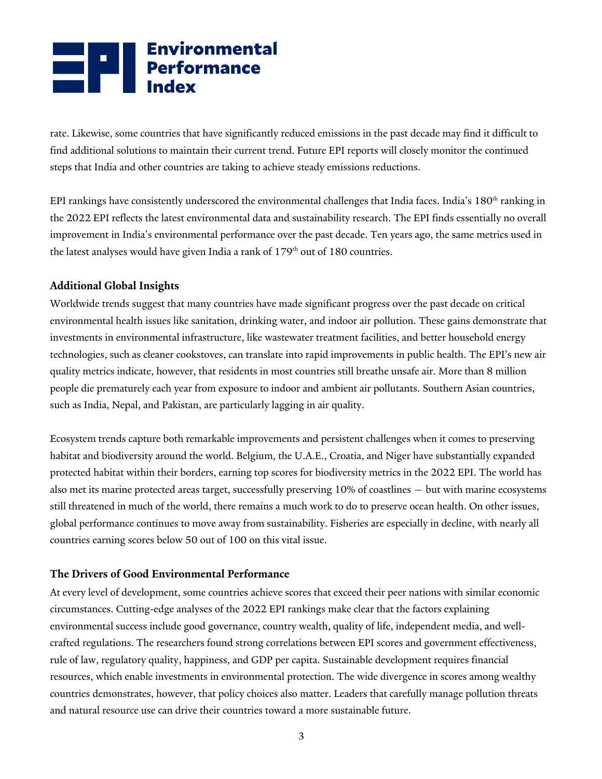# **Environmental**<br> **Performance**<br>
Index

rate. Likewise, some countries that have significantly reduced emissions in the past decade may find it difficult to find additional solutions to maintain their current trend. Future EPI reports will closely monitor the continued steps that India and other countries are taking to achieve steady emissions reductions.

EPI rankings have consistently underscored the environmental challenges that India faces. India's 180<sup>th</sup> ranking in the 2022 EPI reflects the latest environmental data and sustainability research. The EPI finds essentially no overall improvement in India's environmental performance over the past decade. Ten years ago, the same metrics used in the latest analyses would have given India a rank of  $179<sup>th</sup>$  out of 180 countries.

#### **Additional Global Insights**

Worldwide trends suggest that many countries have made significant progress over the past decade on critical environmental health issues like sanitation, drinking water, and indoor air pollution. These gains demonstrate that investments in environmental infrastructure, like wastewater treatment facilities, and better household energy technologies, such as cleaner cookstoves, can translate into rapid improvements in public health. The EPI's new air quality metrics indicate, however, that residents in most countries still breathe unsafe air. More than 8 million people die prematurely each year from exposure to indoor and ambient air pollutants. Southern Asian countries, such as India, Nepal, and Pakistan, are particularly lagging in air quality.

Ecosystem trends capture both remarkable improvements and persistent challenges when it comes to preserving habitat and biodiversity around the world. Belgium, the U.A.E., Croatia, and Niger have substantially expanded protected habitat within their borders, earning top scores for biodiversity metrics in the 2022 EPI. The world has also met its marine protected areas target, successfully preserving 10% of coastlines — but with marine ecosystems still threatened in much of the world, there remains a much work to do to preserve ocean health. On other issues, global performance continues to move away from sustainability. Fisheries are especially in decline, with nearly all countries earning scores below 50 out of 100 on this vital issue.

#### **The Drivers of Good Environmental Performance**

At every level of development, some countries achieve scores that exceed their peer nations with similar economic circumstances. Cutting-edge analyses of the 2022 EPI rankings make clear that the factors explaining environmental success include good governance, country wealth, quality of life, independent media, and wellcrafted regulations. The researchers found strong correlations between EPI scores and government effectiveness, rule of law, regulatory quality, happiness, and GDP per capita. Sustainable development requires financial resources, which enable investments in environmental protection. The wide divergence in scores among wealthy countries demonstrates, however, that policy choices also matter. Leaders that carefully manage pollution threats and natural resource use can drive their countries toward a more sustainable future.